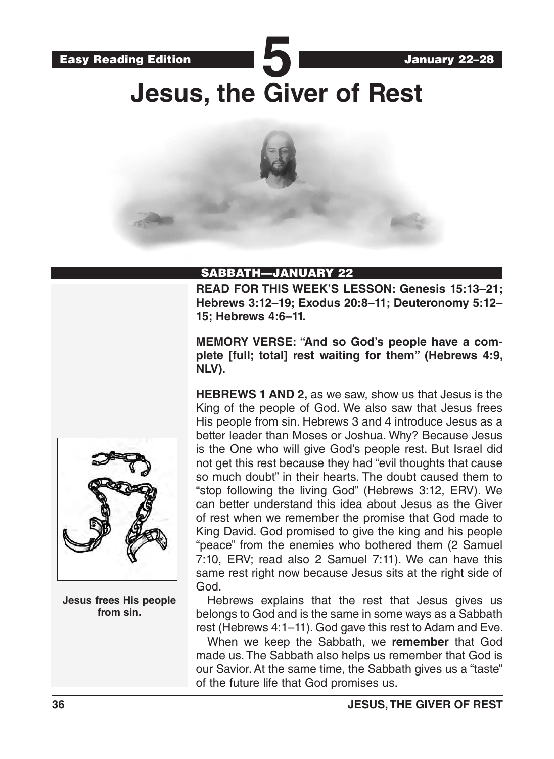

## SABBATH—JANUARY 22

**READ FOR THIS WEEK'S LESSON: Genesis 15:13–21; Hebrews 3:12–19; Exodus 20:8–11; Deuteronomy 5:12– 15; Hebrews 4:6–11.**

**MEMORY VERSE: "And so God's people have a complete [full; total] rest waiting for them" (Hebrews 4:9, NLV).**

**HEBREWS 1 AND 2,** as we saw, show us that Jesus is the King of the people of God. We also saw that Jesus frees His people from sin. Hebrews 3 and 4 introduce Jesus as a better leader than Moses or Joshua. Why? Because Jesus is the One who will give God's people rest. But Israel did not get this rest because they had "evil thoughts that cause so much doubt" in their hearts. The doubt caused them to "stop following the living God" (Hebrews 3:12, ERV). We can better understand this idea about Jesus as the Giver of rest when we remember the promise that God made to King David. God promised to give the king and his people "peace" from the enemies who bothered them (2 Samuel 7:10, ERV; read also 2 Samuel 7:11). We can have this same rest right now because Jesus sits at the right side of God.

Hebrews explains that the rest that Jesus gives us belongs to God and is the same in some ways as a Sabbath rest (Hebrews 4:1–11). God gave this rest to Adam and Eve.

When we keep the Sabbath, we **remember** that God made us. The Sabbath also helps us remember that God is our Savior. At the same time, the Sabbath gives us a "taste" of the future life that God promises us.



**Jesus frees His people from sin.**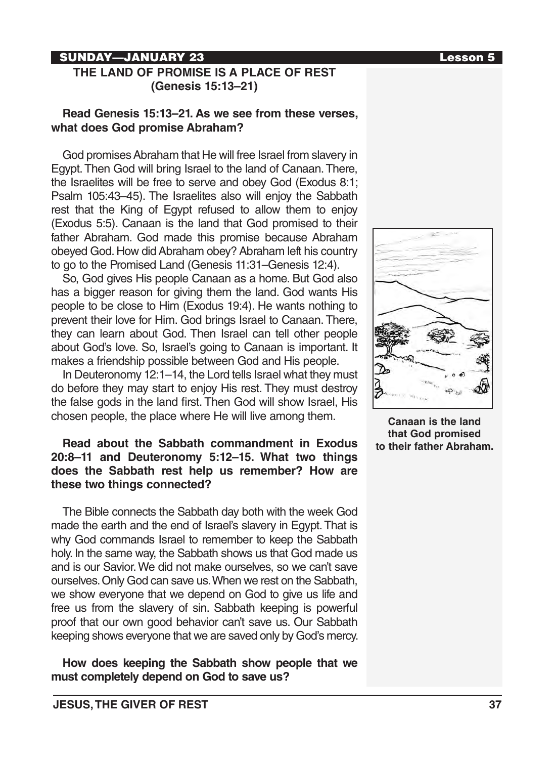## SUNDAY—JANUARY 23 Lesson 5

## **THE LAND OF PROMISE IS A PLACE OF REST (Genesis 15:13–21)**

## **Read Genesis 15:13–21. As we see from these verses, what does God promise Abraham?**

God promises Abraham that He will free Israel from slavery in Egypt. Then God will bring Israel to the land of Canaan. There, the Israelites will be free to serve and obey God (Exodus 8:1; Psalm 105:43–45). The Israelites also will enjoy the Sabbath rest that the King of Egypt refused to allow them to enjoy (Exodus 5:5). Canaan is the land that God promised to their father Abraham. God made this promise because Abraham obeyed God. How did Abraham obey? Abraham left his country to go to the Promised Land (Genesis 11:31–Genesis 12:4).

So, God gives His people Canaan as a home. But God also has a bigger reason for giving them the land. God wants His people to be close to Him (Exodus 19:4). He wants nothing to prevent their love for Him. God brings Israel to Canaan. There, they can learn about God. Then Israel can tell other people about God's love. So, Israel's going to Canaan is important. It makes a friendship possible between God and His people.

In Deuteronomy 12:1–14, the Lord tells Israel what they must do before they may start to enjoy His rest. They must destroy the false gods in the land first. Then God will show Israel, His chosen people, the place where He will live among them.

## **Read about the Sabbath commandment in Exodus 20:8–11 and Deuteronomy 5:12–15. What two things does the Sabbath rest help us remember? How are these two things connected?**

The Bible connects the Sabbath day both with the week God made the earth and the end of Israel's slavery in Egypt. That is why God commands Israel to remember to keep the Sabbath holy. In the same way, the Sabbath shows us that God made us and is our Savior. We did not make ourselves, so we can't save ourselves. Only God can save us. When we rest on the Sabbath, we show everyone that we depend on God to give us life and free us from the slavery of sin. Sabbath keeping is powerful proof that our own good behavior can't save us. Our Sabbath keeping shows everyone that we are saved only by God's mercy.

**How does keeping the Sabbath show people that we must completely depend on God to save us?**



**Canaan is the land that God promised to their father Abraham.**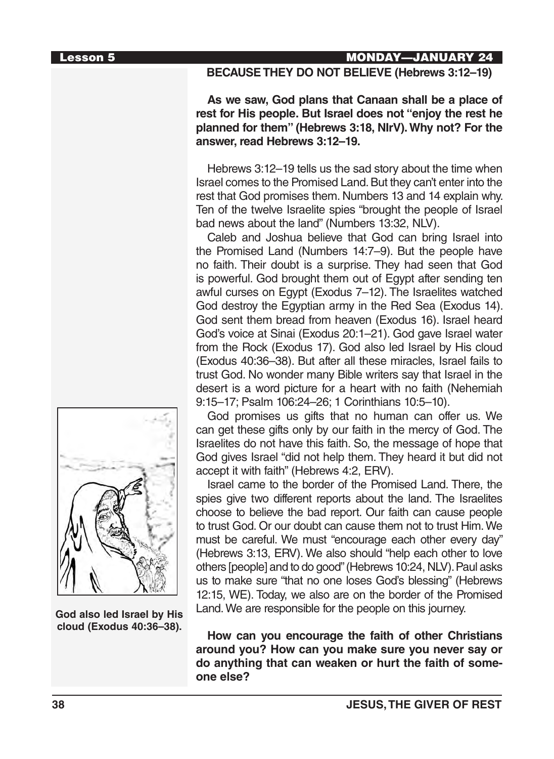### Lesson 5 MONDAY—JANUARY 24

## **BECAUSE THEY DO NOT BELIEVE (Hebrews 3:12–19)**

**As we saw, God plans that Canaan shall be a place of rest for His people. But Israel does not "enjoy the rest he planned for them" (Hebrews 3:18, NIrV). Why not? For the answer, read Hebrews 3:12–19.**

Hebrews 3:12–19 tells us the sad story about the time when Israel comes to the Promised Land. But they can't enter into the rest that God promises them. Numbers 13 and 14 explain why. Ten of the twelve Israelite spies "brought the people of Israel bad news about the land" (Numbers 13:32, NLV).

Caleb and Joshua believe that God can bring Israel into the Promised Land (Numbers 14:7–9). But the people have no faith. Their doubt is a surprise. They had seen that God is powerful. God brought them out of Egypt after sending ten awful curses on Egypt (Exodus 7–12). The Israelites watched God destroy the Egyptian army in the Red Sea (Exodus 14). God sent them bread from heaven (Exodus 16). Israel heard God's voice at Sinai (Exodus 20:1–21). God gave Israel water from the Rock (Exodus 17). God also led Israel by His cloud (Exodus 40:36–38). But after all these miracles, Israel fails to trust God. No wonder many Bible writers say that Israel in the desert is a word picture for a heart with no faith (Nehemiah 9:15–17; Psalm 106:24–26; 1 Corinthians 10:5–10).

God promises us gifts that no human can offer us. We can get these gifts only by our faith in the mercy of God. The Israelites do not have this faith. So, the message of hope that God gives Israel "did not help them. They heard it but did not accept it with faith" (Hebrews 4:2, ERV).

Israel came to the border of the Promised Land. There, the spies give two different reports about the land. The Israelites choose to believe the bad report. Our faith can cause people to trust God. Or our doubt can cause them not to trust Him. We must be careful. We must "encourage each other every day" (Hebrews 3:13, ERV). We also should "help each other to love others [people] and to do good" (Hebrews 10:24, NLV). Paul asks us to make sure "that no one loses God's blessing" (Hebrews 12:15, WE). Today, we also are on the border of the Promised Land. We are responsible for the people on this journey.

**How can you encourage the faith of other Christians around you? How can you make sure you never say or do anything that can weaken or hurt the faith of someone else?**



**God also led Israel by His cloud (Exodus 40:36–38).**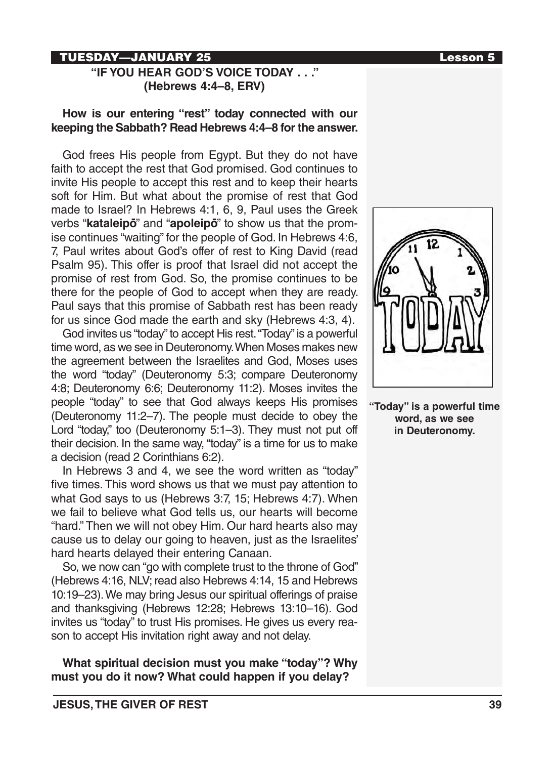## TUESDAY—JANUARY 25 Lesson 5

## **"IF YOU HEAR GOD'S VOICE TODAY . . ." (Hebrews 4:4–8, ERV)**

## **How is our entering "rest" today connected with our keeping the Sabbath? Read Hebrews 4:4–8 for the answer.**

God frees His people from Egypt. But they do not have faith to accept the rest that God promised. God continues to invite His people to accept this rest and to keep their hearts soft for Him. But what about the promise of rest that God made to Israel? In Hebrews 4:1, 6, 9, Paul uses the Greek where to charm in the real integration of  $\mathbf{r}$ ,  $\mathbf{v}$ ,  $\mathbf{v}$ ,  $\mathbf{v}$ ,  $\mathbf{v}$  and  $\mathbf{v}$  and "**apoleipo**" to show us that the promise continues "waiting" for the people of God. In Hebrews 4:6, 7, Paul writes about God's offer of rest to King David (read Psalm 95). This offer is proof that Israel did not accept the promise of rest from God. So, the promise continues to be there for the people of God to accept when they are ready. Paul says that this promise of Sabbath rest has been ready for us since God made the earth and sky (Hebrews 4:3, 4).

God invites us "today" to accept His rest. "Today" is a powerful time word, as we see in Deuteronomy. When Moses makes new the agreement between the Israelites and God, Moses uses the word "today" (Deuteronomy 5:3; compare Deuteronomy 4:8; Deuteronomy 6:6; Deuteronomy 11:2). Moses invites the people "today" to see that God always keeps His promises (Deuteronomy 11:2–7). The people must decide to obey the Lord "today," too (Deuteronomy 5:1–3). They must not put off their decision. In the same way, "today" is a time for us to make a decision (read 2 Corinthians 6:2).

In Hebrews 3 and 4, we see the word written as "today" five times. This word shows us that we must pay attention to what God says to us (Hebrews 3:7, 15; Hebrews 4:7). When we fail to believe what God tells us, our hearts will become "hard." Then we will not obey Him. Our hard hearts also may cause us to delay our going to heaven, just as the Israelites' hard hearts delayed their entering Canaan.

So, we now can "go with complete trust to the throne of God" (Hebrews 4:16, NLV; read also Hebrews 4:14, 15 and Hebrews 10:19–23). We may bring Jesus our spiritual offerings of praise and thanksgiving (Hebrews 12:28; Hebrews 13:10–16). God invites us "today" to trust His promises. He gives us every reason to accept His invitation right away and not delay.

**What spiritual decision must you make "today"? Why must you do it now? What could happen if you delay?**



**"Today" is a powerful time word, as we see in Deuteronomy.**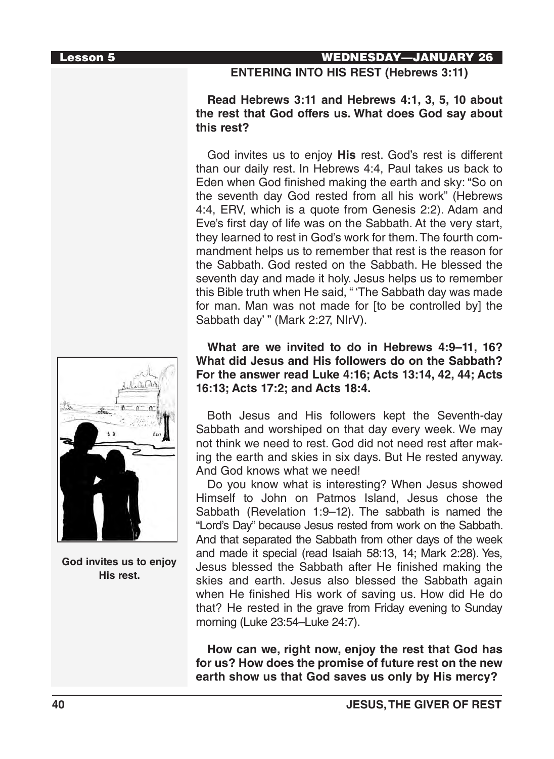## Lesson 5 WEDNESDAY—JANUARY 26

## **ENTERING INTO HIS REST (Hebrews 3:11)**

## **Read Hebrews 3:11 and Hebrews 4:1, 3, 5, 10 about the rest that God offers us. What does God say about this rest?**

God invites us to enjoy **His** rest. God's rest is different than our daily rest. In Hebrews 4:4, Paul takes us back to Eden when God finished making the earth and sky: "So on the seventh day God rested from all his work" (Hebrews 4:4, ERV, which is a quote from Genesis 2:2). Adam and Eve's first day of life was on the Sabbath. At the very start, they learned to rest in God's work for them. The fourth commandment helps us to remember that rest is the reason for the Sabbath. God rested on the Sabbath. He blessed the seventh day and made it holy. Jesus helps us to remember this Bible truth when He said, " 'The Sabbath day was made for man. Man was not made for [to be controlled by] the Sabbath day' " (Mark 2:27, NIrV).

**What are we invited to do in Hebrews 4:9–11, 16? What did Jesus and His followers do on the Sabbath? For the answer read Luke 4:16; Acts 13:14, 42, 44; Acts 16:13; Acts 17:2; and Acts 18:4.**

Both Jesus and His followers kept the Seventh-day Sabbath and worshiped on that day every week. We may not think we need to rest. God did not need rest after making the earth and skies in six days. But He rested anyway. And God knows what we need!

Do you know what is interesting? When Jesus showed Himself to John on Patmos Island, Jesus chose the Sabbath (Revelation 1:9–12). The sabbath is named the "Lord's Day" because Jesus rested from work on the Sabbath. And that separated the Sabbath from other days of the week and made it special (read Isaiah 58:13, 14; Mark 2:28). Yes, Jesus blessed the Sabbath after He finished making the skies and earth. Jesus also blessed the Sabbath again when He finished His work of saving us. How did He do that? He rested in the grave from Friday evening to Sunday morning (Luke 23:54–Luke 24:7).

**How can we, right now, enjoy the rest that God has for us? How does the promise of future rest on the new earth show us that God saves us only by His mercy?**



**God invites us to enjoy His rest.**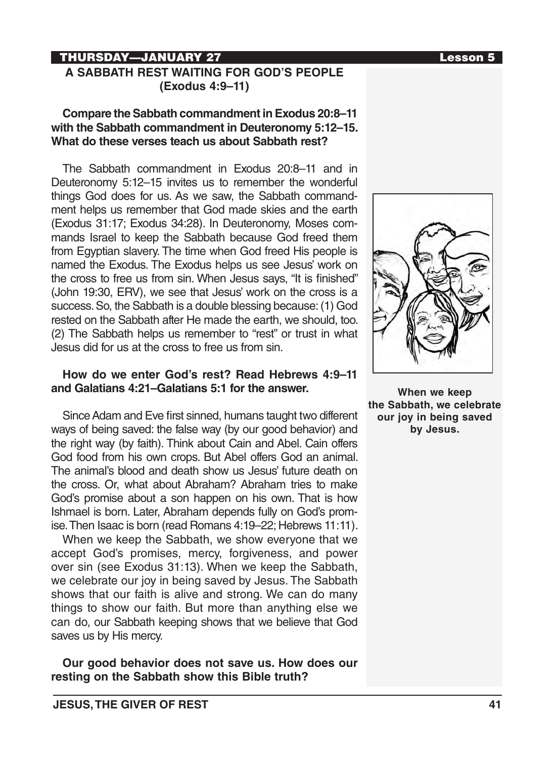# THURSDAY—JANUARY 27 Lesson 5

## **A SABBATH REST WAITING FOR GOD'S PEOPLE (Exodus 4:9–11)**

## **Compare the Sabbath commandment in Exodus 20:8–11 with the Sabbath commandment in Deuteronomy 5:12–15. What do these verses teach us about Sabbath rest?**

The Sabbath commandment in Exodus 20:8–11 and in Deuteronomy 5:12–15 invites us to remember the wonderful things God does for us. As we saw, the Sabbath commandment helps us remember that God made skies and the earth (Exodus 31:17; Exodus 34:28). In Deuteronomy, Moses commands Israel to keep the Sabbath because God freed them from Egyptian slavery. The time when God freed His people is named the Exodus. The Exodus helps us see Jesus' work on the cross to free us from sin. When Jesus says, "It is finished" (John 19:30, ERV), we see that Jesus' work on the cross is a success. So, the Sabbath is a double blessing because: (1) God rested on the Sabbath after He made the earth, we should, too. (2) The Sabbath helps us remember to "rest" or trust in what Jesus did for us at the cross to free us from sin.

## **How do we enter God's rest? Read Hebrews 4:9–11 and Galatians 4:21–Galatians 5:1 for the answer.**

Since Adam and Eve first sinned, humans taught two different ways of being saved: the false way (by our good behavior) and the right way (by faith). Think about Cain and Abel. Cain offers God food from his own crops. But Abel offers God an animal. The animal's blood and death show us Jesus' future death on the cross. Or, what about Abraham? Abraham tries to make God's promise about a son happen on his own. That is how Ishmael is born. Later, Abraham depends fully on God's promise. Then Isaac is born (read Romans 4:19–22; Hebrews 11:11).

When we keep the Sabbath, we show everyone that we accept God's promises, mercy, forgiveness, and power over sin (see Exodus 31:13). When we keep the Sabbath, we celebrate our joy in being saved by Jesus. The Sabbath shows that our faith is alive and strong. We can do many things to show our faith. But more than anything else we can do, our Sabbath keeping shows that we believe that God saves us by His mercy.

**Our good behavior does not save us. How does our resting on the Sabbath show this Bible truth?**





**When we keep the Sabbath, we celebrate our joy in being saved by Jesus.**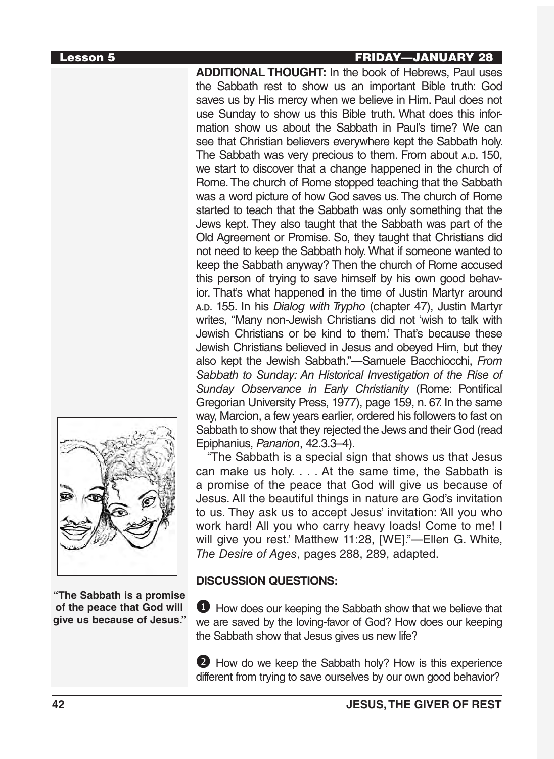# Lesson 5 FRIDAY—JANUARY 28

**ADDITIONAL THOUGHT:** In the book of Hebrews, Paul uses the Sabbath rest to show us an important Bible truth: God saves us by His mercy when we believe in Him. Paul does not use Sunday to show us this Bible truth. What does this information show us about the Sabbath in Paul's time? We can see that Christian believers everywhere kept the Sabbath holy. The Sabbath was very precious to them. From about A.D. 150, we start to discover that a change happened in the church of Rome. The church of Rome stopped teaching that the Sabbath was a word picture of how God saves us. The church of Rome started to teach that the Sabbath was only something that the Jews kept. They also taught that the Sabbath was part of the Old Agreement or Promise. So, they taught that Christians did not need to keep the Sabbath holy. What if someone wanted to keep the Sabbath anyway? Then the church of Rome accused this person of trying to save himself by his own good behavior. That's what happened in the time of Justin Martyr around <sup>a</sup>.d. 155. In his *Dialog with Trypho* (chapter 47), Justin Martyr writes, "Many non-Jewish Christians did not 'wish to talk with Jewish Christians or be kind to them.' That's because these Jewish Christians believed in Jesus and obeyed Him, but they also kept the Jewish Sabbath."—Samuele Bacchiocchi, *From Sabbath to Sunday: An Historical Investigation of the Rise of Sunday Observance in Early Christianity* (Rome: Pontifical Gregorian University Press, 1977), page 159, n. 67. In the same way, Marcion, a few years earlier, ordered his followers to fast on Sabbath to show that they rejected the Jews and their God (read Epiphanius, *Panarion*, 42.3.3–4).

"The Sabbath is a special sign that shows us that Jesus can make us holy. . . . At the same time, the Sabbath is a promise of the peace that God will give us because of Jesus. All the beautiful things in nature are God's invitation to us. They ask us to accept Jesus' invitation: 'All you who work hard! All you who carry heavy loads! Come to me! I will give you rest.' Matthew 11:28, [WE]."—Ellen G. White, *The Desire of Ages*, pages 288, 289, adapted.

## **DISCUSSION QUESTIONS:**

**1** How does our keeping the Sabbath show that we believe that we are saved by the loving-favor of God? How does our keeping the Sabbath show that Jesus gives us new life?

2 How do we keep the Sabbath holy? How is this experience different from trying to save ourselves by our own good behavior?



**"The Sabbath is a promise of the peace that God will give us because of Jesus."**